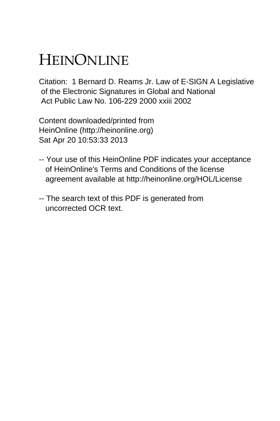# HEINONLINE

Citation: 1 Bernard D. Reams Jr. Law of E-SIGN A Legislative of the Electronic Signatures in Global and National Act Public Law No. 106-229 2000 xxiii 2002

Content downloaded/printed from HeinOnline (http://heinonline.org) Sat Apr 20 10:53:33 2013

- -- Your use of this HeinOnline PDF indicates your acceptance of HeinOnline's Terms and Conditions of the license agreement available at http://heinonline.org/HOL/License
- -- The search text of this PDF is generated from uncorrected OCR text.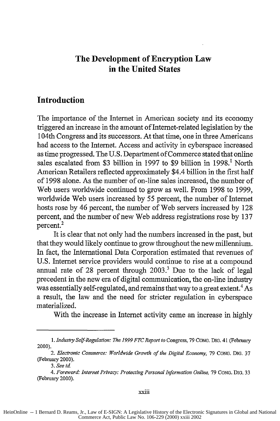### **The Development of Encryption Law in the United States**

#### **Introduction**

The importance of the Internet in American society and its economy triggered an increase in the amount of Internet-related legislation by the 104th Congress and its successors. At that time, one in three Americans had access to the Internet. Access and activity in cyberspace increased as time progressed. The U.S. Department of Commerce stated that online sales escalated from \$3 billion in 1997 to \$9 billion in 1998.<sup>1</sup> North American Retailers reflected approximately \$4.4 billion in the first half of 1998 alone. As the number of on-line sales increased, the number of Web users worldwide continued to grow as well. From 1998 to 1999, worldwide Web users increased by 55 percent, the number of Internet hosts rose by 46 percent, the number of Web servers increased by 128 percent, and the number of new Web address registrations rose by 137 percent.

It is clear that not only had the numbers increased in the past, but that they would likely continue to grow throughout the new millennium. In fact, the International Data Corporation estimated that revenues of U.S. Internet service providers would continue to rise at a compound annual rate of 28 percent through  $2003<sup>3</sup>$  Due to the lack of legal precedent in the new era of digital communication, the on-line industry was essentially self-regulated, and remains that way to a great extent.<sup>4</sup> As a result, the law and the need for stricter regulation in cyberspace materialized.

With the increase in Internet activity came an increase in highly

xxiii

HeinOnline -- 1 Bernard D. Reams, Jr., Law of E-SIGN: A Legislative History of the Electronic Signatures in Global and National Commerce Act, Public Law No. 106-229 (2000) xxiii 2002

*<sup>1.</sup> Industry Self-Regulation: The 1999 FTC Report to* Congress, **79 CONG.** DIG. 41 (February 2000).

*<sup>2.</sup> Electronic Commerce: Worldwide Growth of the Digital Economy, 79* **CONG. DIG. 37** (February 2000).

*<sup>3.</sup> See id*

*<sup>4.</sup> Foreword: Internet Privacy: Protecting Personal Information Online, 79* **CONG. DIG. 33** (February 2000).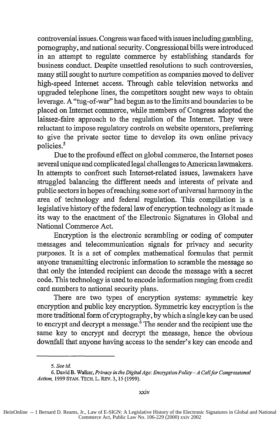controversial issues. Congress was faced with issues including gambling, pornography, and national security. Congressional bills were introduced in an attempt to regulate commerce by establishing standards for business conduct. Despite unsettled resolutions to such controversies, many still sought to nurture competition as companies moved to deliver high-speed Internet access. Through cable television networks and upgraded telephone lines, the competitors sought new ways to obtain leverage. A "tug-of-war" had begun as to the limits and boundaries to be placed on Internet commerce, while members of Congress adopted the laissez-faire approach to the regulation of the Internet. They were reluctant to impose regulatory controls on website operators, preferring to give the private sector time to develop its own online privacy policies.<sup>5</sup>

Due to the profound effect on global commerce, the Internet poses several unique and complicated legal challenges to American lawmakers. In attempts to confront such Internet-related issues, lawmakers have struggled balancing the different needs and interests of private and public sectors in hopes of reaching some sort of universal harmony in the area of technology and federal regulation. This compilation is a legislative history of the federal law of encryption technology as it made its way to the enactment of the Electronic Signatures in Global and National Commerce Act.

Encryption is the electronic scrambling or coding of computer messages and telecommunication signals for privacy and security purposes. It is a set of complex mathematical formulas that permit anyone transmitting electronic information to scramble the message so that only the intended recipient can decode the message with a secret code. This technology is used to encode information ranging from credit card numbers to national security plans.

There are two types of encryption systems: symmetric key encryption and public key encryption. Symmetric key encryption is the more traditional form of cryptography, by which a single key can be used to encrypt and decrypt a message.<sup> $6$ </sup> The sender and the recipient use the same key to encrypt and decrypt the message, hence the obvious downfall that anyone having access to the sender's key can encode and

*<sup>5.</sup> See id.*

<sup>6.</sup> David B. Walker, *Privacy in the DigitalAge: Encryption Policy-A Califor Congressional Action,* 1999 **STAN. TECH.** L. REV. 3, 15 (1999).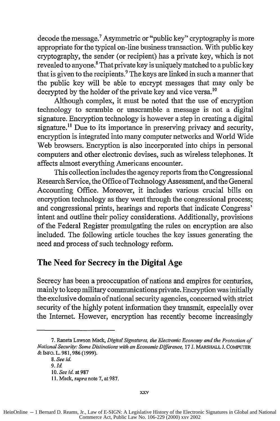decode the message.<sup>7</sup> Asymmetric or "public key" cryptography is more appropriate for the typical on-line business transaction. With public key cryptography, the sender (or recipient) has a private key, which is not revealed to anyone.<sup>8</sup> That private key is uniquely matched to a public key that is given to the recipients. $9$  The keys are linked in such a manner that the public key will be able to encrypt messages that may only be decrypted by the holder of the private key and vice versa.<sup>10</sup>

Although complex, it must be noted that the use of encryption technology to scramble or unscramble a message is not a digital signature. Encryption technology is however a step in creating a digital signature.<sup>11</sup> Due to its importance in preserving privacy and security, encryption is integrated into many computer networks and World Wide Web browsers. Encryption is also incorporated into chips in personal computers and other electronic devises, such as wireless telephones. It affects almost everything Americans encounter.

This collection includes the agency reports from the Congressional Research Service, the Office of Technology Assessment, and the General Accounting Office. Moreover, it includes various crucial bills on encryption technology as they went through the congressional process; and congressional prints, hearings and reports that indicate Congress' intent and outline their policy considerations. Additionally, provisions of the Federal Register promulgating the rules on encryption are also included. The following article touches the key issues generating the need and process of such technology reform.

## **The Need for Secrecy in the Digital Age**

Secrecy has been a preoccupation of nations and empires for centuries, mainly to keep military communications private. Encryption was initially the exclusive domain of national security agencies, concerned with strict security of the highly potent information they transmit, especially over the Internet. However, encryption has recently become increasingly

**<sup>7.</sup>** Raneta Lawson Mack, Digital *Signatures, the Electronic Economy and the Protection of National Security: Some Distinctions with an Economic Difference,* **17 J. MARSHALL J. COMPUTER &** INFO. L. **981,986 (1999).**

*<sup>8.</sup> See id. 9. Id* **10.** *See id.* at **987 11.** Mack, *supra* note **7,** at **987.**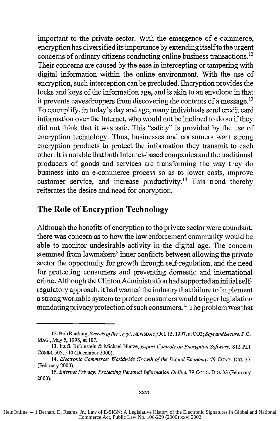important to the private sector. With the emergence of e-commerce, encryption has diversified its importance by extending itselfto the urgent concerns of ordinary citizens conducting online business transactions.<sup>12</sup> Their concerns are caused by the ease in intercepting or tampering with digital information within the online environment. With the use of encryption, such interception can be precluded. Encryption provides the locks and keys of the information age, and is akin to an envelope in that it prevents eavesdroppers from discovering the contents of a message.<sup>13</sup> To exemplify, in today's day and age, many individuals send credit card information over the Internet, who would not be inclined to do so if they did not think that it was safe. This "safety" is provided by the use of encryption technology. Thus, businesses and consumers want strong encryption products to protect the information they transmit to each other. It is notable that both Internet-based companies and the traditional producers of goods and services are transforming the way they do business into an e-commerce process so as to lower costs, improve customer service, and increase productivity.<sup>14</sup> This trend thereby reiterates the desire and need for encryption.

### **The Role of Encryption Technology**

Although the benefits of encryption to the private sector were abundant, there was concern as to how the law enforcement community would be able to monitor undesirable activity in the digital age. The concern stemmed from lawmakers' inner conflicts between allowing the private sector the opportunity for growth through self-regulation, and the need for protecting consumers and preventing domestic and international crime. Although the Clinton Administration had supported an initial selfregulatory approach, it had warned the industry that failure to implement a strong workable system to protect consumers would trigger legislation mandating privacy protection of such consumers.<sup>15</sup> The problem was that

<sup>12.</sup> Bob Ranking, *Secrets ofthe Crypt,* NEWSDAY, Oct. 15, 1997, atCO3;Safe *andSecure, P.C.* MAO., May *5,* **1998,** at **107.**

<sup>13.</sup> Ira **S.** Rubinstein **&** Michael Hintze, *Export Controls on Encryption Software,* **812** PLI COMM. **505, 510** (December 2000).

<sup>14.</sup> *Electronic Commerce: Worldwide Growth of the Digital Economy, 79* CONG. DIG. 37 (February 2000).

*<sup>15.</sup> Internet Privacy: Protecting Personal Information Online,* **79** CoNG. DIG. 33 (February 2000).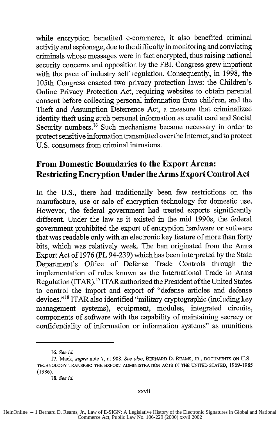while encryption benefited e-commerce, it also benefited criminal activity and espionage, due to the difficulty in monitoring and convicting criminals whose messages were in fact encrypted, thus raising national security concerns and opposition by the FBI. Congress grew impatient with the pace of industry self regulation. Consequently, in 1998, the 105th Congress enacted two privacy protection laws: the Children's Online Privacy Protection Act, requiring websites to obtain parental consent before collecting personal information from children, and the Theft and Assumption Deterrence Act, a measure that criminalized identity theft using such personal information as credit card and Social Security numbers.<sup>16</sup> Such mechanisms became necessary in order to protect sensitive information transmitted over the Internet, and to protect U.S. consumers from criminal intrusions.

## **From Domestic Boundaries to the Export Arena: Restricting Encryption Under the Arms Export Control Act**

In the **U.S.,** there had traditionally been few restrictions on the manufacture, use or sale of encryption technology for domestic use. However, the federal government had treated exports significantly different. Under the law as it existed in the mid 1990s, the federal government prohibited the export of encryption hardware or software that was readable only with an electronic key feature of more than forty bits, which was relatively weak. The ban originated from the Arms Export Act of 1976 (PL 94-239) which has been interpreted by the State Department's Office of Defense Trade Controls through the implementation of rules known as the International Trade in Arms Regulation (ITAR).<sup>17</sup> ITAR authorized the President of the United States to control the import and export of "defense articles and defense devices."18 ITAR also identified "military cryptographic (including key management systems), equipment, modules, integrated circuits, components of software with the capability of maintaining secrecy or confidentiality of information or information systems" as munitions

<sup>16.</sup> *See id.*

**<sup>17.</sup>** Mack, *supra* note 7, at 988. *See also,* BERNARD D. REAMS, JR., **DOCUMENTS ON U.S. TECHNOLOGY** TRANSFER: THE EXPORT **ADMINISTRATION ACTS IN** THE **UNITED STATED,** 1969-1985 (1986).

<sup>18.</sup> *See id.*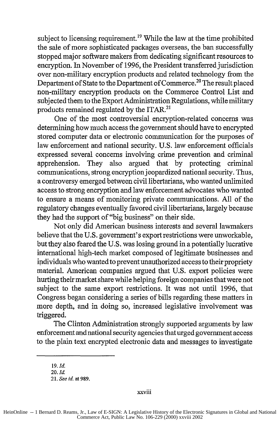subject to licensing requirement.<sup>19</sup> While the law at the time prohibited the sale of more sophisticated packages overseas, the ban successfully stopped major software makers from dedicating significant resources to encryption. In November of 1996, the President transferred jurisdiction over non-military encryption products and related technology from the Department of State to the Department of Commerce.<sup>20</sup> The result placed non-military encryption products on the Commerce Control List and subjected them to the Export Administration Regulations, while military products remained regulated by the ITAR.<sup>21</sup>

One of the most controversial encryption-related concerns was determining how much access the government should have to encrypted stored computer data or electronic communication for the purposes of law enforcement and national security. U.S. law enforcement officials expressed several concerns involving crime prevention and criminal apprehension. They also argued that by protecting criminal communications, strong encryption jeopardized national security. Thus, a controversy emerged between civil libertarians, who wanted unlimited access to strong encryption and law enforcement advocates who wanted to ensure a means of monitoring private communications. All of the regulatory changes eventually favored civil libertarians, largely because they had the support of "big business" on their side.

Not only did American business interests and several lawmakers believe that the U.S. government's export restrictions were unworkable, but they also feared the U.S. was losing ground in a potentially lucrative international high-tech market composed of legitimate businesses and individuals who wanted to prevent unauthorized access to their propriety material. American companies argued that U.S. export policies were hurting their market share while helping foreign companies that were not subject to the same export restrictions. It was not until 1996, that Congress began considering a series of bills regarding these matters in more depth, and in doing so, increased legislative involvement was triggered.

The Clinton Administration strongly supported arguments by law enforcement and national security agencies that urged government access to the plain text encrypted electronic data and messages to investigate

xxviii

*<sup>19.</sup> Id.*

*<sup>20.</sup> Id.*

<sup>21.</sup> *See id.* at **989.**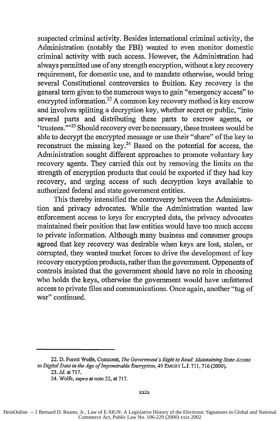suspected criminal activity. Besides international criminal activity, the Administration (notably the FBI) wanted to even monitor domestic criminal activity with such access. However, the Administration had always permitted use of any strength encryption, without a key recovery requirement, for domestic use, and to mandate otherwise, would bring several Constitutional controversies to fruition. Key recovery is the general term given to the numerous ways to gain "emergency access" to encrypted information.<sup>22</sup> A common key recovery method is key escrow and involves splitting a decryption key, whether secret or public, "into several parts and distributing these parts to escrow agents, or 'trustees."<sup>23</sup> Should recovery ever be necessary, these trustees would be able to decrypt the encrypted message or use their "share" of the key to reconstruct the missing key. $^{24}$  Based on the potential for access, the Administration sought different approaches to promote voluntary key recovery agents. They carried this out by removing the limits on the strength of encryption products that could be exported if they had key recovery, and urging access of such decryption keys available to authorized federal and state government entities.

This thereby intensified the controversy between the Administration and privacy advocates. While the Administration wanted law enforcement access to keys for encrypted data, the privacy advocates maintained their position that law entities would have too much access to private information. Although many business and consumer groups agreed that key recovery was desirable when keys are lost, stolen, or corrupted, they wanted market forces to drive the development of key recovery encryption products, rather than the government. Opponents of controls insisted that the government should have no role in choosing who holds the keys, otherwise the government would have unfettered access to private files and communications. Once again, another "tug of war" continued.

<sup>22.</sup> D. Forest Wolfe, Comment, *The Government's Right to Read: Maintaining State Access to Digital Data in the Age of Impenetrable Encryption,* 49 EMoRY L.J. **711,** 716 (2000). 23. *Id.* at 717.

<sup>24.</sup> Wolfe, *supra* at note 22, at 717.

HeinOnline -- 1 Bernard D. Reams, Jr., Law of E-SIGN: A Legislative History of the Electronic Signatures in Global and National Commerce Act, Public Law No. 106-229 (2000) xxix 2002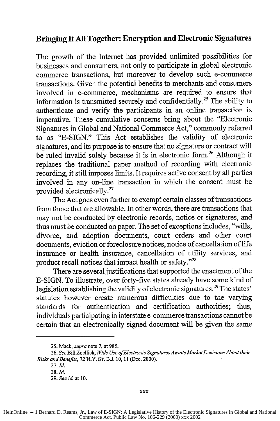#### **Bringing It All Together: Encryption and Electronic Signatures**

The growth of the Internet has provided unlimited possibilities for businesses and consumers, not only to participate in global electronic commerce transactions, but moreover to develop such e-commerce transactions. Given the potential benefits to merchants and consumers involved in e-commerce, mechanisms are required to ensure that information is transmitted securely and confidentially.<sup>25</sup> The ability to authenticate and verify the participants in an online transaction is imperative. These cumulative concerns bring about the "Electronic Signatures in Global and National Commerce Act," commonly referred to as "E-SIGN." This Act establishes the validity of electronic signatures, and its purpose is to ensure that no signature or contract will be ruled invalid solely because it is in electronic form.<sup>26</sup> Although it replaces the traditional paper method of recording with electronic recording, it still imposes limits. It requires active consent by all parties involved in any on-line transaction in which the consent must be provided electronically. <sup>27</sup>

The Act goes even further to exempt certain classes of transactions from those that are allowable. In other words, there are transactions that may not be conducted by electronic records, notice or signatures, and thus must be conducted on paper. The set of exceptions includes, "wills, divorce, and adoption documents, court orders and other court documents, eviction or foreclosure notices, notice of cancellation of life insurance or health insurance, cancellation of utility services, and product recall notices that impact health or safety."28

There are several justifications that supported the enactment of the E-SIGN. To illustrate, over forty-five states already have some kind of legislation establishing the validity of electronic signatures.<sup>29</sup> The states' statutes however create numerous difficulties due to the varying standards for authentication and certification authorities; thus, individuals participating in interstate e-commerce transactions cannot be certain that an electronically signed document will be given the same

<sup>25.</sup> Mack, *supra* note 7, at **985.**

<sup>26.</sup> *See* Bill Zoellick, *Wide Use ofElectronic Signatures Awaits Market Decisions About their Risks and Benefits,* 72 N.Y. **ST.** B.J. 10, **11** (Dec. 2000).

**<sup>27.</sup>** *Id.*

*<sup>28.</sup> Id.*

<sup>29.</sup> *See id.* at **10.**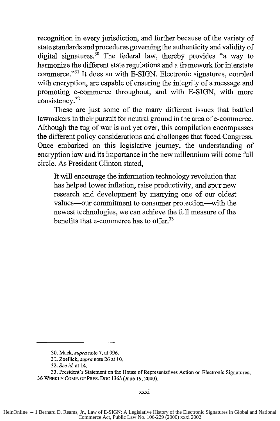recognition in every jurisdiction, and further because of the variety of state standards and procedures governing the authenticity and validity of digital signatures.<sup>30</sup> The federal law, thereby provides "a way to harmonize the different state regulations and a framework for interstate commerce."<sup>31</sup> It does so with E-SIGN. Electronic signatures, coupled with encryption, are capable of ensuring the integrity of a message and promoting e-commerce throughout, and with E-SIGN, with more consistency. <sup>32</sup>

These are just some of the many different issues that battled lawmakers in their pursuit for neutral ground in the area of e-commerce. Although the tug of war is not yet over, this compilation encompasses the different policy considerations and challenges that faced Congress. Once embarked on this legislative journey, the understanding of encryption law and its importance in the new millennium will come full circle. As President Clinton stated,

It will encourage the information technology revolution that has helped lower inflation, raise productivity, and spur new research and development by marrying one of our oldest values-our commitment to consumer protection-with the newest technologies, we can achieve the full measure of the benefits that e-commerce has to offer.<sup>33</sup>

<sup>30.</sup> Mack, *supra* note 7, at 996.

<sup>31.</sup> Zoellick, *supra* note 26 at 10.

<sup>32.</sup> *See id.* at 14.

<sup>33.</sup> President's Statement on the House of Representatives Action on Electronic Signatures, 36 WEEKLY COMP. OF PRES. Doc 1365 (June 19,2000).